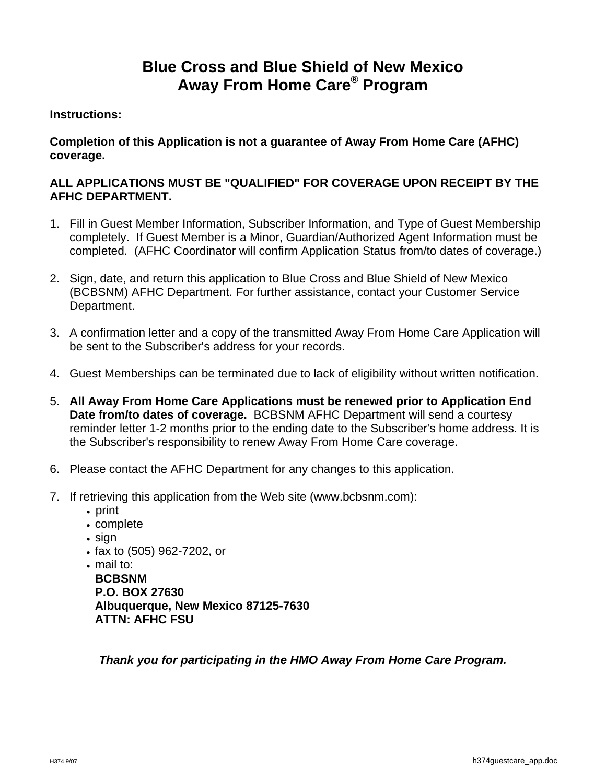# **Blue Cross and Blue Shield of New Mexico Away From Home Care® Program**

#### **Instructions:**

### **Completion of this Application is not a guarantee of Away From Home Care (AFHC) coverage.**

## **ALL APPLICATIONS MUST BE "QUALIFIED" FOR COVERAGE UPON RECEIPT BY THE AFHC DEPARTMENT.**

- 1. Fill in Guest Member Information, Subscriber Information, and Type of Guest Membership completely. If Guest Member is a Minor, Guardian/Authorized Agent Information must be completed. (AFHC Coordinator will confirm Application Status from/to dates of coverage.)
- 2. Sign, date, and return this application to Blue Cross and Blue Shield of New Mexico (BCBSNM) AFHC Department. For further assistance, contact your Customer Service Department.
- 3. A confirmation letter and a copy of the transmitted Away From Home Care Application will be sent to the Subscriber's address for your records.
- 4. Guest Memberships can be terminated due to lack of eligibility without written notification.
- 5. **All Away From Home Care Applications must be renewed prior to Application End Date from/to dates of coverage.** BCBSNM AFHC Department will send a courtesy reminder letter 1-2 months prior to the ending date to the Subscriber's home address. It is the Subscriber's responsibility to renew Away From Home Care coverage.
- 6. Please contact the AFHC Department for any changes to this application.
- 7. If retrieving this application from the Web site (www.bcbsnm.com):
	- print
	- complete
	- sign
	- fax to (505) 962-7202, or
	- mail to:

**BCBSNM P.O. BOX 27630 Albuquerque, New Mexico 87125-7630 ATTN: AFHC FSU** 

*Thank you for participating in the HMO Away From Home Care Program.*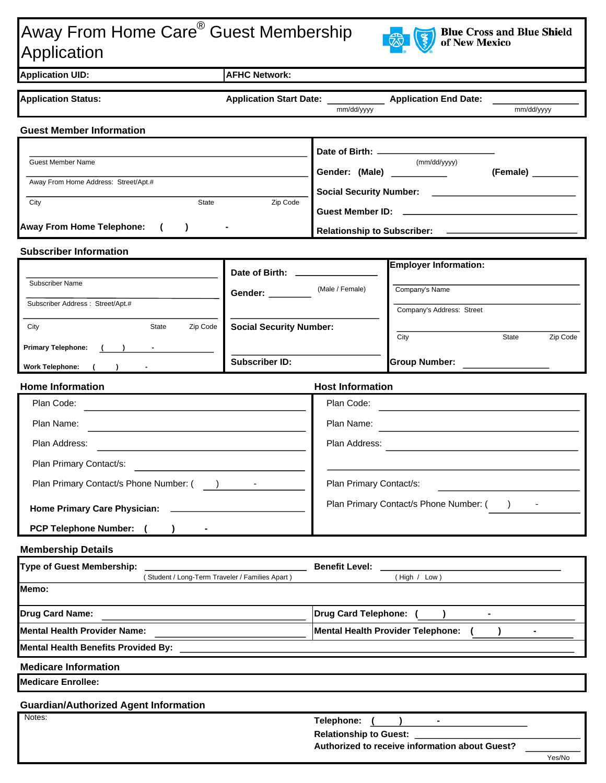# Away From Home Care® Guest Membership Application



| <b>Application UID:</b>                                                                        | <b>AFHC Network:</b>             |                                                                                                                                        |                                                                       |                   |
|------------------------------------------------------------------------------------------------|----------------------------------|----------------------------------------------------------------------------------------------------------------------------------------|-----------------------------------------------------------------------|-------------------|
| <b>Application Status:</b>                                                                     |                                  | mm/dd/yyyy                                                                                                                             | Application Start Date: ______________ Application End Date: ________ | mm/dd/yyyy        |
| <b>Guest Member Information</b>                                                                |                                  |                                                                                                                                        |                                                                       |                   |
|                                                                                                |                                  |                                                                                                                                        |                                                                       |                   |
| Guest Member Name                                                                              |                                  |                                                                                                                                        | (mm/dd/yyyy)<br>Gender: (Male) ___________                            | (Female)          |
| Away From Home Address: Street/Apt.#                                                           |                                  |                                                                                                                                        |                                                                       |                   |
| $\overline{\mathsf{State}}$<br>City                                                            | Zip Code                         |                                                                                                                                        |                                                                       |                   |
|                                                                                                |                                  |                                                                                                                                        |                                                                       |                   |
| Away From Home Telephone: (<br>$\rightarrow$<br>$\blacksquare$                                 |                                  |                                                                                                                                        |                                                                       |                   |
| <b>Subscriber Information</b>                                                                  |                                  |                                                                                                                                        |                                                                       |                   |
|                                                                                                | Date of Birth: _________________ |                                                                                                                                        | <b>Employer Information:</b>                                          |                   |
| Subscriber Name                                                                                | Gender: _____                    | (Male / Female)                                                                                                                        | Company's Name                                                        |                   |
| Subscriber Address: Street/Apt.#                                                               |                                  |                                                                                                                                        | Company's Address: Street                                             |                   |
| Zip Code<br>City<br>State                                                                      | <b>Social Security Number:</b>   |                                                                                                                                        |                                                                       |                   |
| <b>Primary Telephone:</b>                                                                      |                                  |                                                                                                                                        | City                                                                  | Zip Code<br>State |
| Work Telephone: ( )                                                                            | <b>Subscriber ID:</b>            |                                                                                                                                        | <b>Group Number:</b>                                                  |                   |
| <b>Home Information</b>                                                                        |                                  | <b>Host Information</b>                                                                                                                |                                                                       |                   |
| Plan Code:                                                                                     |                                  |                                                                                                                                        | Plan Code:                                                            |                   |
| Plan Name:                                                                                     |                                  | Plan Name:                                                                                                                             |                                                                       |                   |
| Plan Address:                                                                                  |                                  | Plan Address:<br><u> 1989 - Johann Stein, mars and de Branch and de Branch and de Branch and de Branch and de Branch and de Branch</u> |                                                                       |                   |
| Plan Primary Contact/s:                                                                        |                                  |                                                                                                                                        |                                                                       |                   |
|                                                                                                |                                  | Plan Primary Contact/s:                                                                                                                |                                                                       |                   |
| Plan Primary Contact/s Phone Number: () - The Research Plan Primary Contact/s Phone Number: () |                                  |                                                                                                                                        |                                                                       |                   |
| Home Primary Care Physician:                                                                   |                                  | Plan Primary Contact/s Phone Number: (                                                                                                 |                                                                       |                   |
| <b>PCP Telephone Number:</b>                                                                   |                                  |                                                                                                                                        |                                                                       |                   |
| <b>Membership Details</b>                                                                      |                                  |                                                                                                                                        |                                                                       |                   |
| <b>Type of Guest Membership:</b>                                                               |                                  | <b>Benefit Level:</b>                                                                                                                  |                                                                       |                   |
| (Student / Long-Term Traveler / Families Apart)<br>Memo:                                       |                                  |                                                                                                                                        | (High / Low)                                                          |                   |
|                                                                                                |                                  |                                                                                                                                        |                                                                       |                   |
| <b>Drug Card Name:</b>                                                                         |                                  | <b>Drug Card Telephone:</b>                                                                                                            |                                                                       |                   |
| <b>Mental Health Provider Name:</b>                                                            |                                  | <b>Mental Health Provider Telephone:</b>                                                                                               |                                                                       |                   |
| <b>Mental Health Benefits Provided By:</b>                                                     |                                  |                                                                                                                                        |                                                                       |                   |
| <b>Medicare Information</b><br><b>Medicare Enrollee:</b>                                       |                                  |                                                                                                                                        |                                                                       |                   |
|                                                                                                |                                  |                                                                                                                                        |                                                                       |                   |
| <b>Guardian/Authorized Agent Information</b><br>Notes:                                         |                                  |                                                                                                                                        |                                                                       |                   |
|                                                                                                |                                  | Telephone:<br>٠<br><b>Relationship to Guest:</b>                                                                                       |                                                                       |                   |
|                                                                                                |                                  | Authorized to receive information about Guest?                                                                                         |                                                                       |                   |
|                                                                                                |                                  |                                                                                                                                        |                                                                       | Yes/No            |